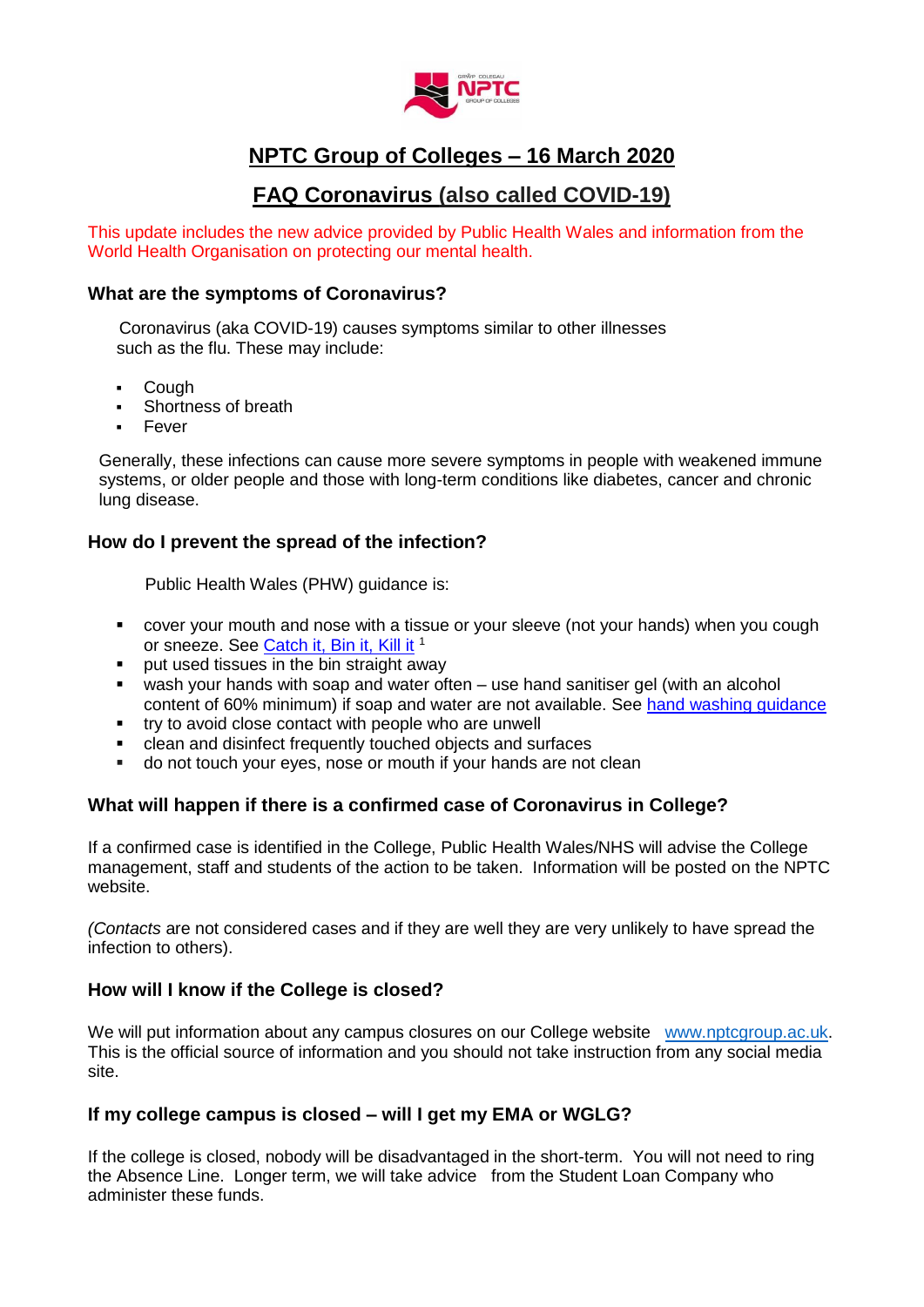

# **NPTC Group of Colleges – 16 March 2020**

# **FAQ Coronavirus (also called COVID-19)**

This update includes the new advice provided by Public Health Wales and information from the World Health Organisation on protecting our mental health.

## **What are the symptoms of Coronavirus?**

 Coronavirus (aka COVID-19) causes symptoms similar to other illnesses such as the flu. These may include:

- **Cough**
- Shortness of breath
- Fever

Generally, these infections can cause more severe symptoms in people with weakened immune systems, or older people and those with long-term conditions like diabetes, cancer and chronic lung disease.

# **How do I prevent the spread of the infection?**

Public Health Wales (PHW) guidance is:

- cover your mouth and nose with a tissue or your sleeve (not your hands) when you cough or sneeze. See [Catch it, Bin it, Kill it](https://campaignresources.phe.gov.uk/resources/campaigns/101/resources/5016)<sup>1</sup>
- **•** put used tissues in the bin straight away
- wash your hands with soap and water often use hand sanitiser gel (with an alcohol content of 60% minimum) if soap and water are not available. See [hand washing guidance](https://assets.publishing.service.gov.uk/government/uploads/system/uploads/attachment_data/file/866065/Handwashing_techniques.pdf)
- try to avoid close contact with people who are unwell
- clean and disinfect frequently touched objects and surfaces
- do not touch your eyes, nose or mouth if your hands are not clean

# **What will happen if there is a confirmed case of Coronavirus in College?**

If a confirmed case is identified in the College, Public Health Wales/NHS will advise the College management, staff and students of the action to be taken. Information will be posted on the NPTC website.

*(Contacts* are not considered cases and if they are well they are very unlikely to have spread the infection to others).

# **How will I know if the College is closed?**

We will put information about any campus closures on our College website [www.nptcgroup.ac.uk.](http://www.nptcgroup.ac.uk/) This is the official source of information and you should not take instruction from any social media site.

# **If my college campus is closed – will I get my EMA or WGLG?**

If the college is closed, nobody will be disadvantaged in the short-term. You will not need to ring the Absence Line. Longer term, we will take advice from the Student Loan Company who administer these funds.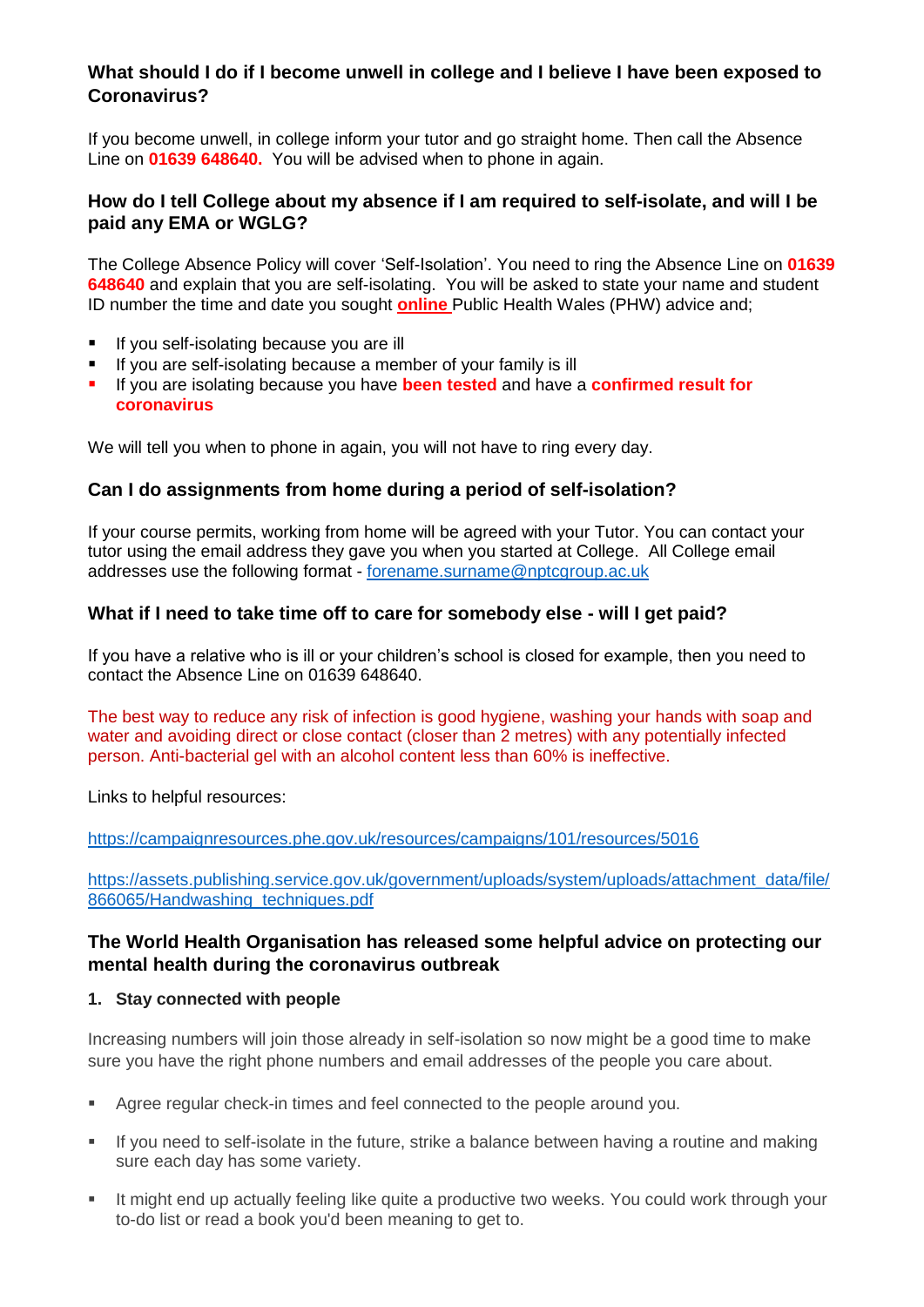# **What should I do if I become unwell in college and I believe I have been exposed to Coronavirus?**

If you become unwell, in college inform your tutor and go straight home. Then call the Absence Line on **01639 648640.** You will be advised when to phone in again.

## **How do I tell College about my absence if I am required to self-isolate, and will I be paid any EMA or WGLG?**

The College Absence Policy will cover 'Self-Isolation'. You need to ring the Absence Line on **01639 648640** and explain that you are self-isolating. You will be asked to state your name and student ID number the time and date you sought **online** Public Health Wales (PHW) advice and;

- **If you self-isolating because you are ill**
- If you are self-isolating because a member of your family is ill
- **If you are isolating because you have been tested and have a confirmed result for coronavirus**

We will tell you when to phone in again, you will not have to ring every day.

#### **Can I do assignments from home during a period of self-isolation?**

If your course permits, working from home will be agreed with your Tutor. You can contact your tutor using the email address they gave you when you started at College. All College email addresses use the following format - [forename.surname@nptcgroup.ac.uk](mailto:forename.surname@nptcgroup.ac.uk)

## **What if I need to take time off to care for somebody else - will I get paid?**

If you have a relative who is ill or your children's school is closed for example, then you need to contact the Absence Line on 01639 648640.

The best way to reduce any risk of infection is good hygiene, washing your hands with soap and water and avoiding direct or close contact (closer than 2 metres) with any potentially infected person. Anti-bacterial gel with an alcohol content less than 60% is ineffective.

Links to helpful resources:

<https://campaignresources.phe.gov.uk/resources/campaigns/101/resources/5016>

[https://assets.publishing.service.gov.uk/government/uploads/system/uploads/attachment\\_data/file/](https://assets.publishing.service.gov.uk/government/uploads/system/uploads/attachment_data/file/866065/Handwashing_techniques.pdf) [866065/Handwashing\\_techniques.pdf](https://assets.publishing.service.gov.uk/government/uploads/system/uploads/attachment_data/file/866065/Handwashing_techniques.pdf)

# **The World Health Organisation has released some helpful advice on protecting our mental health during the coronavirus outbreak**

#### **1. Stay connected with people**

Increasing numbers will join those already in self-isolation so now might be a good time to make sure you have the right phone numbers and email addresses of the people you care about.

- Agree regular check-in times and feel connected to the people around you.
- If you need to self-isolate in the future, strike a balance between having a routine and making sure each day has some variety.
- It might end up actually feeling like quite a productive two weeks. You could work through your to-do list or read a book you'd been meaning to get to.